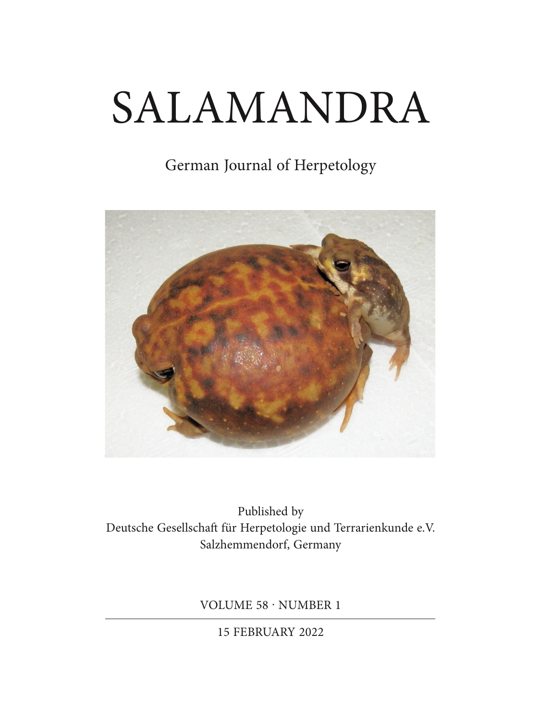# SALAMANDRA

# German Journal of Herpetology



Published by Deutsche Gesellschaft für Herpetologie und Terrarienkunde e.V. Salzhemmendorf, Germany

VOLUME 58 · NUMBER 1

15 FEBRUARY 2022